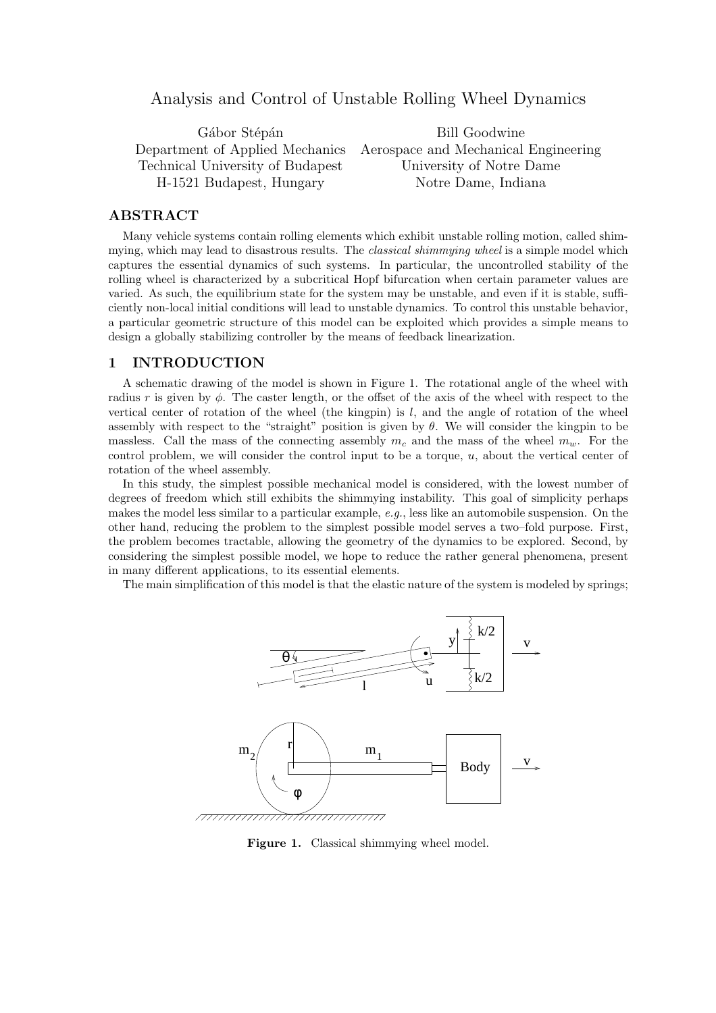# Analysis and Control of Unstable Rolling Wheel Dynamics

Technical University of Budapest University of Notre Dame H-1521 Budapest, Hungary Notre Dame, Indiana

Gábor Stépán Bill Goodwine Department of Applied Mechanics Aerospace and Mechanical Engineering

### ABSTRACT

Many vehicle systems contain rolling elements which exhibit unstable rolling motion, called shimmying, which may lead to disastrous results. The *classical shimmying wheel* is a simple model which captures the essential dynamics of such systems. In particular, the uncontrolled stability of the rolling wheel is characterized by a subcritical Hopf bifurcation when certain parameter values are varied. As such, the equilibrium state for the system may be unstable, and even if it is stable, sufficiently non-local initial conditions will lead to unstable dynamics. To control this unstable behavior, a particular geometric structure of this model can be exploited which provides a simple means to design a globally stabilizing controller by the means of feedback linearization.

### 1 INTRODUCTION

A schematic drawing of the model is shown in Figure 1. The rotational angle of the wheel with radius r is given by  $\phi$ . The caster length, or the offset of the axis of the wheel with respect to the vertical center of rotation of the wheel (the kingpin) is  $l$ , and the angle of rotation of the wheel assembly with respect to the "straight" position is given by  $\theta$ . We will consider the kingpin to be massless. Call the mass of the connecting assembly  $m_c$  and the mass of the wheel  $m_w$ . For the control problem, we will consider the control input to be a torque,  $u$ , about the vertical center of rotation of the wheel assembly.

In this study, the simplest possible mechanical model is considered, with the lowest number of degrees of freedom which still exhibits the shimmying instability. This goal of simplicity perhaps makes the model less similar to a particular example, e.g., less like an automobile suspension. On the other hand, reducing the problem to the simplest possible model serves a two–fold purpose. First, the problem becomes tractable, allowing the geometry of the dynamics to be explored. Second, by considering the simplest possible model, we hope to reduce the rather general phenomena, present in many different applications, to its essential elements.

The main simplification of this model is that the elastic nature of the system is modeled by springs;



Figure 1. Classical shimmying wheel model.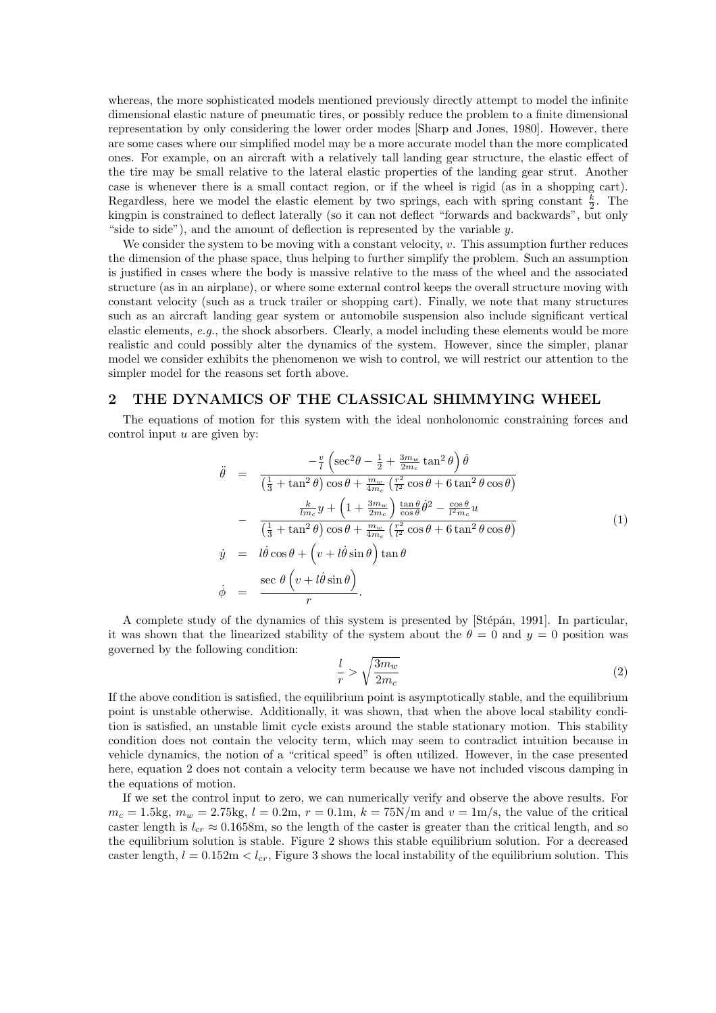whereas, the more sophisticated models mentioned previously directly attempt to model the infinite dimensional elastic nature of pneumatic tires, or possibly reduce the problem to a finite dimensional representation by only considering the lower order modes [Sharp and Jones, 1980]. However, there are some cases where our simplified model may be a more accurate model than the more complicated ones. For example, on an aircraft with a relatively tall landing gear structure, the elastic effect of the tire may be small relative to the lateral elastic properties of the landing gear strut. Another case is whenever there is a small contact region, or if the wheel is rigid (as in a shopping cart). Regardless, here we model the elastic element by two springs, each with spring constant  $\frac{k}{2}$ . The kingpin is constrained to deflect laterally (so it can not deflect "forwards and backwards", but only "side to side"), and the amount of deflection is represented by the variable  $y$ .

We consider the system to be moving with a constant velocity,  $v$ . This assumption further reduces the dimension of the phase space, thus helping to further simplify the problem. Such an assumption is justified in cases where the body is massive relative to the mass of the wheel and the associated structure (as in an airplane), or where some external control keeps the overall structure moving with constant velocity (such as a truck trailer or shopping cart). Finally, we note that many structures such as an aircraft landing gear system or automobile suspension also include significant vertical elastic elements, e.g., the shock absorbers. Clearly, a model including these elements would be more realistic and could possibly alter the dynamics of the system. However, since the simpler, planar model we consider exhibits the phenomenon we wish to control, we will restrict our attention to the simpler model for the reasons set forth above.

#### 2 THE DYNAMICS OF THE CLASSICAL SHIMMYING WHEEL

The equations of motion for this system with the ideal nonholonomic constraining forces and control input  $u$  are given by:

$$
\ddot{\theta} = \frac{-\frac{v}{l}\left(\sec^2\theta - \frac{1}{2} + \frac{3m_w}{2m_c}\tan^2\theta\right)\dot{\theta}}{\left(\frac{1}{3} + \tan^2\theta\right)\cos\theta + \frac{m_w}{4m_c}\left(\frac{r^2}{l^2}\cos\theta + 6\tan^2\theta\cos\theta\right)}\n- \frac{\frac{k}{lm_c}y + \left(1 + \frac{3m_w}{2m_c}\right)\frac{\tan\theta}{\cos\theta}\dot{\theta}^2 - \frac{\cos\theta}{l^2m_c}u}{\left(\frac{1}{3} + \tan^2\theta\right)\cos\theta + \frac{m_w}{4m_c}\left(\frac{r^2}{l^2}\cos\theta + 6\tan^2\theta\cos\theta\right)}\n\dot{y} = l\dot{\theta}\cos\theta + \left(v + l\dot{\theta}\sin\theta\right)\tan\theta
$$
\n
$$
\dot{\phi} = \frac{\sec\theta\left(v + l\dot{\theta}\sin\theta\right)}{r}.
$$
\n(1)

A complete study of the dynamics of this system is presented by [Stépán, 1991]. In particular, it was shown that the linearized stability of the system about the  $\theta = 0$  and  $y = 0$  position was governed by the following condition:

$$
\frac{l}{r} > \sqrt{\frac{3m_w}{2m_c}}\tag{2}
$$

If the above condition is satisfied, the equilibrium point is asymptotically stable, and the equilibrium point is unstable otherwise. Additionally, it was shown, that when the above local stability condition is satisfied, an unstable limit cycle exists around the stable stationary motion. This stability condition does not contain the velocity term, which may seem to contradict intuition because in vehicle dynamics, the notion of a "critical speed" is often utilized. However, in the case presented here, equation 2 does not contain a velocity term because we have not included viscous damping in the equations of motion.

If we set the control input to zero, we can numerically verify and observe the above results. For  $m_c = 1.5 \text{kg}, m_w = 2.75 \text{kg}, l = 0.2 \text{m}, r = 0.1 \text{m}, k = 75 \text{N/m}$  and  $v = 1 \text{m/s}$ , the value of the critical caster length is  $l_{cr} \approx 0.1658$ m, so the length of the caster is greater than the critical length, and so the equilibrium solution is stable. Figure 2 shows this stable equilibrium solution. For a decreased caster length,  $l = 0.152 \text{m} < l_{cr}$ , Figure 3 shows the local instability of the equilibrium solution. This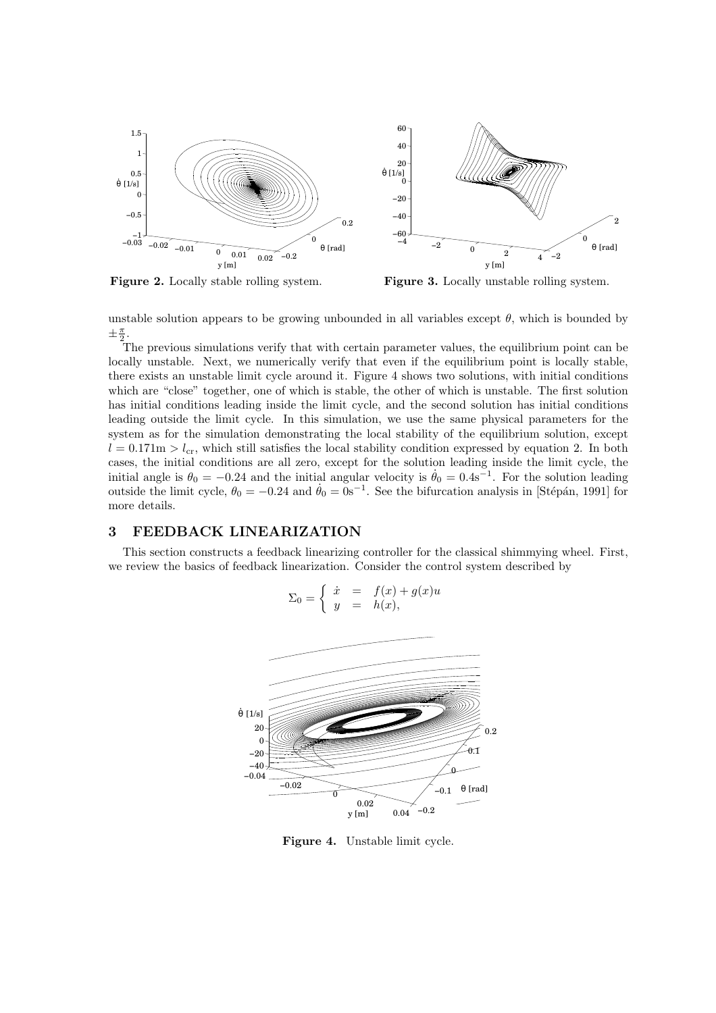

Figure 2. Locally stable rolling system. Figure 3. Locally unstable rolling system.

unstable solution appears to be growing unbounded in all variables except  $\theta$ , which is bounded by  $\pm \frac{\pi}{2}$ .

The previous simulations verify that with certain parameter values, the equilibrium point can be locally unstable. Next, we numerically verify that even if the equilibrium point is locally stable, there exists an unstable limit cycle around it. Figure 4 shows two solutions, with initial conditions which are "close" together, one of which is stable, the other of which is unstable. The first solution has initial conditions leading inside the limit cycle, and the second solution has initial conditions leading outside the limit cycle. In this simulation, we use the same physical parameters for the system as for the simulation demonstrating the local stability of the equilibrium solution, except  $l = 0.171$ m  $> l_{cr}$ , which still satisfies the local stability condition expressed by equation 2. In both cases, the initial conditions are all zero, except for the solution leading inside the limit cycle, the initial angle is  $\theta_0 = -0.24$  and the initial angular velocity is  $\dot{\theta}_0 = 0.4$ s<sup>-1</sup>. For the solution leading outside the limit cycle,  $\theta_0 = -0.24$  and  $\dot{\theta}_0 = 0$ s<sup>-1</sup>. See the bifurcation analysis in [Stépán, 1991] for more details.

## 3 FEEDBACK LINEARIZATION

This section constructs a feedback linearizing controller for the classical shimmying wheel. First, we review the basics of feedback linearization. Consider the control system described by



Figure 4. Unstable limit cycle.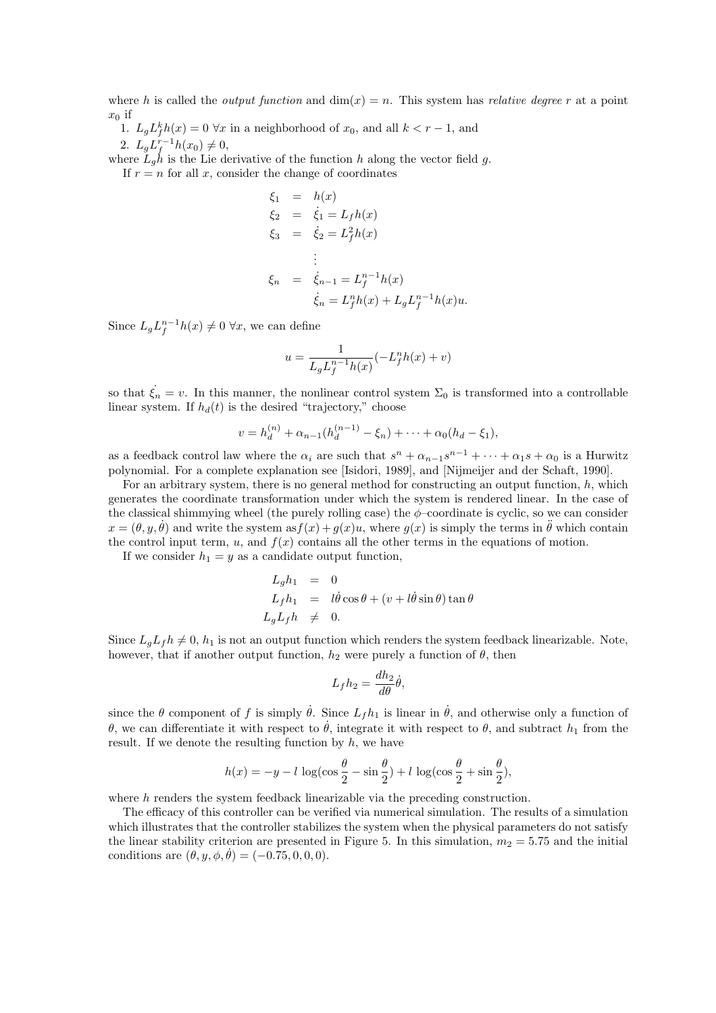where h is called the *output function* and  $\dim(x) = n$ . This system has *relative degree* r at a point  $x_0$  if

1.  $L_g L_f^k h(x) = 0 \,\forall x$  in a neighborhood of  $x_0$ , and all  $k < r - 1$ , and 2.  $L_g L_f^{r-1} h(x_0) \neq 0$ ,

where  $\tilde{L}_g h$  is the Lie derivative of the function h along the vector field g.

If  $r = n$  for all x, consider the change of coordinates

$$
\xi_1 = h(x)
$$
  
\n
$$
\xi_2 = \dot{\xi}_1 = L_f h(x)
$$
  
\n
$$
\xi_3 = \dot{\xi}_2 = L_f^2 h(x)
$$
  
\n
$$
\vdots
$$
  
\n
$$
\xi_n = \dot{\xi}_{n-1} = L_f^{n-1} h(x)
$$
  
\n
$$
\dot{\xi}_n = L_f^n h(x) + L_g L_f^{n-1} h(x) u.
$$

Since  $L_g L_f^{n-1} h(x) \neq 0 \,\forall x$ , we can define

$$
u = \frac{1}{L_g L_f^{n-1} h(x)} (-L_f^n h(x) + v)
$$

so that  $\dot{\xi}_n = v$ . In this manner, the nonlinear control system  $\Sigma_0$  is transformed into a controllable linear system. If  $h_d(t)$  is the desired "trajectory," choose

$$
v = h_d^{(n)} + \alpha_{n-1}(h_d^{(n-1)} - \xi_n) + \cdots + \alpha_0(h_d - \xi_1),
$$

as a feedback control law where the  $\alpha_i$  are such that  $s^n + \alpha_{n-1}s^{n-1} + \cdots + \alpha_1s + \alpha_0$  is a Hurwitz polynomial. For a complete explanation see [Isidori, 1989], and [Nijmeijer and der Schaft, 1990].

For an arbitrary system, there is no general method for constructing an output function, h, which generates the coordinate transformation under which the system is rendered linear. In the case of the classical shimmying wheel (the purely rolling case) the  $\phi$ –coordinate is cyclic, so we can consider  $x = (\theta, y, \dot{\theta})$  and write the system as  $f(x) + g(x)u$ , where  $g(x)$  is simply the terms in  $\ddot{\theta}$  which contain the control input term, u, and  $f(x)$  contains all the other terms in the equations of motion.

If we consider  $h_1 = y$  as a candidate output function,

$$
L_g h_1 = 0
$$
  
\n
$$
L_f h_1 = l\dot{\theta}\cos\theta + (v + l\dot{\theta}\sin\theta)\tan\theta
$$
  
\n
$$
L_g L_f h \neq 0.
$$

Since  $L_a L_f h \neq 0$ ,  $h_1$  is not an output function which renders the system feedback linearizable. Note, however, that if another output function,  $h_2$  were purely a function of  $\theta$ , then

$$
L_f h_2 = \frac{dh_2}{d\theta} \dot{\theta},
$$

since the  $\theta$  component of f is simply  $\dot{\theta}$ . Since  $L_f h_1$  is linear in  $\dot{\theta}$ , and otherwise only a function of θ, we can differentiate it with respect to θ, integrate it with respect to θ, and subtract  $h_1$  from the result. If we denote the resulting function by  $h$ , we have

$$
h(x) = -y - l \log(\cos\frac{\theta}{2} - \sin\frac{\theta}{2}) + l \log(\cos\frac{\theta}{2} + \sin\frac{\theta}{2}),
$$

where h renders the system feedback linearizable via the preceding construction.

The efficacy of this controller can be verified via numerical simulation. The results of a simulation which illustrates that the controller stabilizes the system when the physical parameters do not satisfy the linear stability criterion are presented in Figure 5. In this simulation,  $m_2 = 5.75$  and the initial conditions are  $(\theta, y, \phi, \dot{\theta}) = (-0.75, 0, 0, 0).$